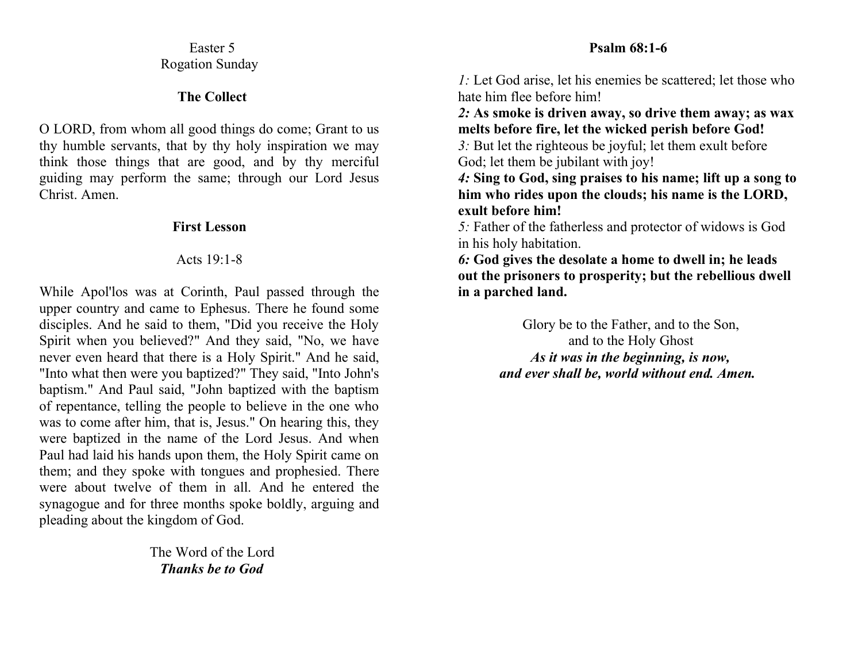## Easter 5 Rogation Sunday

### **The Collect**

O LORD, from whom all good things do come; Grant to us thy humble servants, that by thy holy inspiration we may think those things that are good, and by thy merciful guiding may perform the same; through our Lord Jesus Christ. Amen.

# **First Lesson**

# Acts 19:1-8

While Apol'los was at Corinth, Paul passed through the upper country and came to Ephesus. There he found some disciples. And he said to them, "Did you receive the Holy Spirit when you believed?" And they said, "No, we have never even heard that there is a Holy Spirit." And he said, "Into what then were you baptized?" They said, "Into John's baptism." And Paul said, "John baptized with the baptism of repentance, telling the people to believe in the one who was to come after him, that is, Jesus." On hearing this, they were baptized in the name of the Lord Jesus. And when Paul had laid his hands upon them, the Holy Spirit came on them; and they spoke with tongues and prophesied. There were about twelve of them in all. And he entered the synagogue and for three months spoke boldly, arguing and pleading about the kingdom of God.

> The Word of the Lord *Thanks be to God*

# **Psalm 68:1-6**

*1:* Let God arise, let his enemies be scattered; let those who hate him flee before him!

*2:* **As smoke is driven away, so drive them away; as wax melts before fire, let the wicked perish before God!** 

*3:* But let the righteous be joyful; let them exult before God; let them be jubilant with joy!

*4:* **Sing to God, sing praises to his name; lift up a song to him who rides upon the clouds; his name is the LORD, exult before him!** 

*5:* Father of the fatherless and protector of widows is God in his holy habitation.

*6:* **God gives the desolate a home to dwell in; he leads out the prisoners to prosperity; but the rebellious dwell in a parched land.**

> Glory be to the Father, and to the Son, and to the Holy Ghost *As it was in the beginning, is now, and ever shall be, world without end. Amen.*